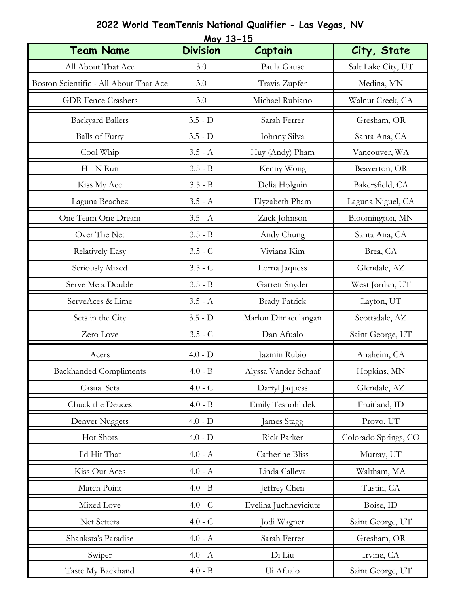| <u>May 13-15</u>                       |                   |                       |                      |  |  |  |
|----------------------------------------|-------------------|-----------------------|----------------------|--|--|--|
| <b>Team Name</b>                       | <b>Division</b>   | Captain               | City, State          |  |  |  |
| All About That Ace                     | 3.0               | Paula Gause           | Salt Lake City, UT   |  |  |  |
| Boston Scientific - All About That Ace | 3.0               | Travis Zupfer         | Medina, MN           |  |  |  |
| <b>GDR</b> Fence Crashers              | 3.0               | Michael Rubiano       | Walnut Creek, CA     |  |  |  |
| <b>Backyard Ballers</b>                | $3.5 - D$         | Sarah Ferrer          | Gresham, OR          |  |  |  |
| <b>Balls</b> of Furry                  | $3.5 - D$         | Johnny Silva          | Santa Ana, CA        |  |  |  |
| Cool Whip                              | $3.5 - A$         | Huy (Andy) Pham       | Vancouver, WA        |  |  |  |
| Hit N Run                              | $3.5 - B$         | Kenny Wong            | Beaverton, OR        |  |  |  |
| Kiss My Ace                            | $3.5 - B$         | Delia Holguin         | Bakersfield, CA      |  |  |  |
| Laguna Beachez                         | $3.5 - A$         | Elyzabeth Pham        | Laguna Niguel, CA    |  |  |  |
| One Team One Dream                     | $3.5 - A$         | Zack Johnson          | Bloomington, MN      |  |  |  |
| Over The Net                           | $3.5 - B$         | Andy Chung            | Santa Ana, CA        |  |  |  |
| <b>Relatively Easy</b>                 | $3.5 - C$         | Viviana Kim           | Brea, CA             |  |  |  |
| Seriously Mixed                        | $3.5 - C$         | Lorna Jaquess         | Glendale, AZ         |  |  |  |
| Serve Me a Double                      | $3.5 - B$         | Garrett Snyder        | West Jordan, UT      |  |  |  |
| ServeAces & Lime                       | $3.5$ - $\Lambda$ | <b>Brady Patrick</b>  | Layton, UT           |  |  |  |
| Sets in the City                       | $3.5 - D$         | Marlon Dimaculangan   | Scottsdale, AZ       |  |  |  |
| Zero Love                              | $3.5 - C$         | Dan Afualo            | Saint George, UT     |  |  |  |
| Acers                                  | $4.0 - D$         | Jazmin Rubio          | Anaheim, CA          |  |  |  |
| <b>Backhanded Compliments</b>          | $4.0 - B$         | Alyssa Vander Schaaf  | Hopkins, MN          |  |  |  |
| <b>Casual Sets</b>                     | $4.0 - C$         | Darryl Jaquess        | Glendale, AZ         |  |  |  |
| Chuck the Deuces                       | $4.0 - B$         | Emily Tesnohlidek     | Fruitland, ID        |  |  |  |
| Denver Nuggets                         | $4.0 - D$         | James Stagg           | Provo, UT            |  |  |  |
| Hot Shots                              | $4.0 - D$         | Rick Parker           | Colorado Springs, CO |  |  |  |
| I'd Hit That                           | $4.0 - A$         | Catherine Bliss       | Murray, UT           |  |  |  |
| Kiss Our Aces                          | $4.0 - A$         | Linda Calleva         | Waltham, MA          |  |  |  |
| Match Point                            | $4.0 - B$         | Jeffrey Chen          | Tustin, CA           |  |  |  |
| Mixed Love                             | $4.0 - C$         | Evelina Juchneviciute | Boise, ID            |  |  |  |
| Net Setters                            | $4.0 - C$         | Jodi Wagner           | Saint George, UT     |  |  |  |
| Shanksta's Paradise                    | $4.0 - A$         | Sarah Ferrer          | Gresham, OR          |  |  |  |
| Swiper                                 | $4.0 - A$         | Di Liu                | Irvine, CA           |  |  |  |
| Taste My Backhand                      | $4.0 - B$         | Ui Afualo             | Saint George, UT     |  |  |  |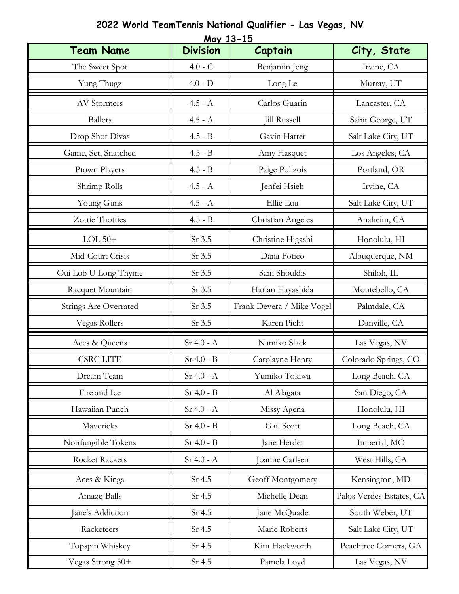|                              | <u>May 13-15</u>       |                           |                          |  |  |  |  |
|------------------------------|------------------------|---------------------------|--------------------------|--|--|--|--|
| <b>Team Name</b>             | <b>Division</b>        | Captain                   | City, State              |  |  |  |  |
| The Sweet Spot               | $4.0 - C$              | Benjamin Jeng             | Irvine, CA               |  |  |  |  |
| Yung Thugz                   | $4.0 - D$              | Long Le                   | Murray, UT               |  |  |  |  |
| <b>AV Stormers</b>           | $4.5$ - $\Lambda$      | Carlos Guarin             | Lancaster, CA            |  |  |  |  |
| <b>Ballers</b>               | $4.5 - A$              | <b>Jill Russell</b>       | Saint George, UT         |  |  |  |  |
| Drop Shot Divas              | $4.5 - B$              | Gavin Hatter              | Salt Lake City, UT       |  |  |  |  |
| Game, Set, Snatched          | $4.5 - B$              | Amy Hasquet               | Los Angeles, CA          |  |  |  |  |
| Ptown Players                | $4.5 - B$              | Paige Polizois            | Portland, OR             |  |  |  |  |
| Shrimp Rolls                 | $4.5 - A$              | Jenfei Hsieh              | Irvine, CA               |  |  |  |  |
| Young Guns                   | $4.5 - A$              | Ellie Luu                 | Salt Lake City, UT       |  |  |  |  |
| Zottie Thotties              | $4.5$ - $\rm{B}$       | Christian Angeles         | Anaheim, CA              |  |  |  |  |
| LOL $50+$                    | Sr 3.5                 | Christine Higashi         | Honolulu, HI             |  |  |  |  |
| Mid-Court Crisis             | Sr 3.5                 | Dana Fotieo               | Albuquerque, NM          |  |  |  |  |
| Oui Lob U Long Thyme         | Sr 3.5                 | Sam Shouldis              | Shiloh, IL               |  |  |  |  |
| Racquet Mountain             | Sr 3.5                 | Harlan Hayashida          | Montebello, CA           |  |  |  |  |
| <b>Strings Are Overrated</b> | Sr 3.5                 | Frank Devera / Mike Vogel | Palmdale, CA             |  |  |  |  |
| Vegas Rollers                | Sr 3.5                 | Karen Picht               | Danville, CA             |  |  |  |  |
| Aces & Queens                | $Sr 4.0 - A$           | Namiko Slack              | Las Vegas, NV            |  |  |  |  |
| <b>CSRC LITE</b>             | $Sr$ 4.0 - $B$         | Carolayne Henry           | Colorado Springs, CO     |  |  |  |  |
| Dream Team                   | $\rm Sr$ 4.0 - $\rm A$ | Yumiko Tokiwa             | Long Beach, CA           |  |  |  |  |
| Fire and Ice                 | $Sr$ 4.0 - $B$         | Al Alagata                | San Diego, CA            |  |  |  |  |
| Hawaiian Punch               | $Sr 4.0 - A$           | Missy Agena               | Honolulu, HI             |  |  |  |  |
| Mavericks                    | $Sr$ 4.0 - $B$         | Gail Scott                | Long Beach, CA           |  |  |  |  |
| Nonfungible Tokens           | $Sr$ 4.0 - $B$         | Jane Herder               | Imperial, MO             |  |  |  |  |
| <b>Rocket Rackets</b>        | $Sr$ 4.0 - $A$         | Joanne Carlsen            | West Hills, CA           |  |  |  |  |
| Aces & Kings                 | Sr 4.5                 | Geoff Montgomery          | Kensington, MD           |  |  |  |  |
| Amaze-Balls                  | Sr 4.5                 | Michelle Dean             | Palos Verdes Estates, CA |  |  |  |  |
| Jane's Addiction             | Sr 4.5                 | Jane McQuade              | South Weber, UT          |  |  |  |  |
| Racketeers                   | Sr 4.5                 | Marie Roberts             | Salt Lake City, UT       |  |  |  |  |
| Topspin Whiskey              | Sr 4.5                 | Kim Hackworth             | Peachtree Corners, GA    |  |  |  |  |
| Vegas Strong 50+             | Sr 4.5                 | Pamela Loyd               | Las Vegas, NV            |  |  |  |  |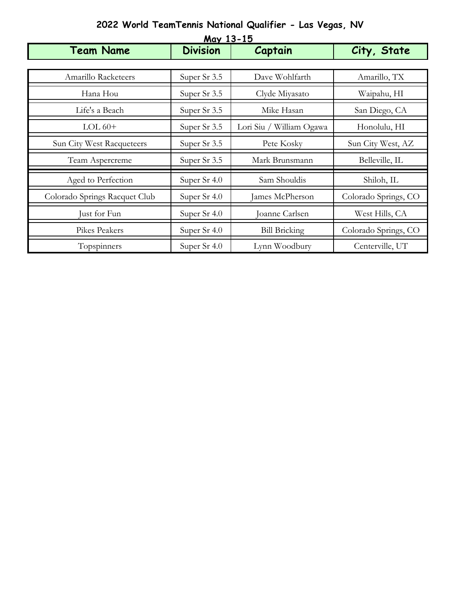| May 13-15                     |                 |                          |                      |  |  |
|-------------------------------|-----------------|--------------------------|----------------------|--|--|
| <b>Team Name</b>              | <b>Division</b> | Captain                  | City, State          |  |  |
|                               |                 |                          |                      |  |  |
| Amarillo Racketeers           | Super Sr 3.5    | Dave Wohlfarth           | Amarillo, TX         |  |  |
| Hana Hou                      | Super Sr 3.5    | Clyde Miyasato           | Waipahu, HI          |  |  |
| Life's a Beach                | Super Sr 3.5    | Mike Hasan               | San Diego, CA        |  |  |
| $LOL 60+$                     | Super Sr 3.5    | Lori Siu / William Ogawa | Honolulu, HI         |  |  |
| Sun City West Racqueteers     | Super Sr 3.5    | Pete Kosky               | Sun City West, AZ    |  |  |
| Team Aspercreme               | Super Sr 3.5    | Mark Brunsmann           | Belleville, IL       |  |  |
| Aged to Perfection            | Super Sr 4.0    | Sam Shouldis             | Shiloh, IL           |  |  |
| Colorado Springs Racquet Club | Super Sr 4.0    | James McPherson          | Colorado Springs, CO |  |  |
| Just for Fun                  | Super Sr 4.0    | Joanne Carlsen           | West Hills, CA       |  |  |
| Pikes Peakers                 | Super Sr 4.0    | <b>Bill Bricking</b>     | Colorado Springs, CO |  |  |
| Topspinners                   | Super Sr 4.0    | Lynn Woodbury            | Centerville, UT      |  |  |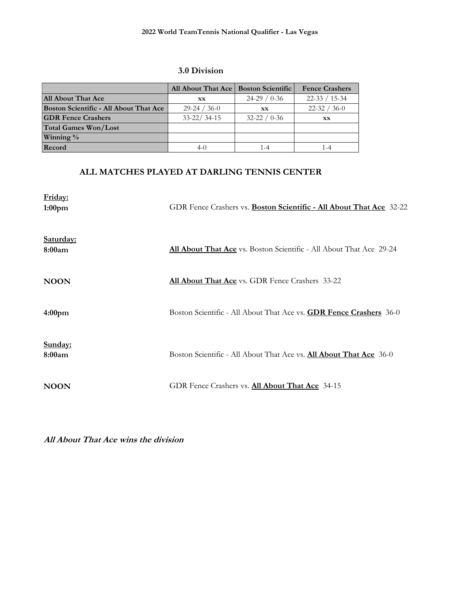#### **3.0 Division**

|                                               | All About That Ace   Boston Scientific |                    | <b>Fence Crashers</b> |
|-----------------------------------------------|----------------------------------------|--------------------|-----------------------|
| <b>All About That Ace</b>                     | XX                                     | $24-29/0-36$       | $22 - 33 / 15 - 34$   |
| <b>Boston Scientific - All About That Ace</b> | $29-24/36-0$                           | XX                 | $22-32 / 36-0$        |
| <b>GDR Fence Crashers</b>                     | $33 - 22/34 - 15$                      | $32 - 22 / 0 - 36$ | XX.                   |
| <b>Total Games Won/Lost</b>                   |                                        |                    |                       |
| Winning %                                     |                                        |                    |                       |
| Record                                        | 4-0                                    | 1 - 4              | $-4$                  |

# **ALL MATCHES PLAYED AT DARLING TENNIS CENTER**

| Friday:<br>1:00 <sub>pm</sub> | GDR Fence Crashers vs. <b>Boston Scientific - All About That Ace</b> 32-22 |
|-------------------------------|----------------------------------------------------------------------------|
| Saturday:<br>8:00am           | All About That Ace vs. Boston Scientific - All About That Ace 29-24        |
| <b>NOON</b>                   | All About That Ace vs. GDR Fence Crashers 33-22                            |
| 4:00 <sub>pm</sub>            | Boston Scientific - All About That Ace vs. <b>GDR Fence Crashers</b> 36-0  |
| Sunday:<br>8:00am             | Boston Scientific - All About That Ace vs. All About That Ace 36-0         |
| <b>NOON</b>                   | GDR Fence Crashers vs. All About That Ace 34-15                            |

**All About That Ace wins the division**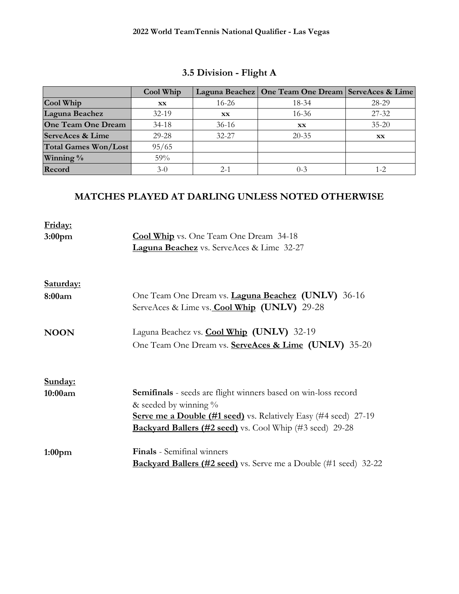|                             | Cool Whip |           | Laguna Beachez   One Team One Dream   ServeAces & Lime |           |
|-----------------------------|-----------|-----------|--------------------------------------------------------|-----------|
| Cool Whip                   | XX        | $16 - 26$ | 18-34                                                  | 28-29     |
| Laguna Beachez              | $32-19$   | XX        | $16 - 36$                                              | $27 - 32$ |
| <b>One Team One Dream</b>   | $34-18$   | $36-16$   | <b>XX</b>                                              | $35 - 20$ |
| <b>ServeAces &amp; Lime</b> | $29 - 28$ | $32 - 27$ | $20 - 35$                                              | <b>XX</b> |
| <b>Total Games Won/Lost</b> | 95/65     |           |                                                        |           |
| Winning %                   | 59%       |           |                                                        |           |
| Record                      | $3-0$     | $2 - 1$   | $0 - 3$                                                | 1-2       |

# **3.5 Division - Flight A**

| Friday:<br>3:00 <sub>pm</sub> | <b>Cool Whip</b> vs. One Team One Dream 34-18<br>Laguna Beachez vs. ServeAces & Lime 32-27                                                                                                                                                     |  |  |
|-------------------------------|------------------------------------------------------------------------------------------------------------------------------------------------------------------------------------------------------------------------------------------------|--|--|
| Saturday:                     |                                                                                                                                                                                                                                                |  |  |
| 8:00am                        | One Team One Dream vs. <b>Laguna Beachez</b> (UNLV) 36-16<br>ServeAces & Lime vs. Cool Whip (UNLV) 29-28                                                                                                                                       |  |  |
| <b>NOON</b>                   | Laguna Beachez vs. Cool Whip (UNLV) 32-19<br>One Team One Dream vs. ServeAces & Lime (UNLV) 35-20                                                                                                                                              |  |  |
| Sunday:                       |                                                                                                                                                                                                                                                |  |  |
| 10:00am                       | <b>Semifinals</b> - seeds are flight winners based on win-loss record<br>& seeded by winning $\%$<br><b>Serve me a Double (#1 seed)</b> vs. Relatively Easy (#4 seed) 27-19<br><b>Backyard Ballers (#2 seed)</b> vs. Cool Whip (#3 seed) 29-28 |  |  |
| 1:00 <sub>pm</sub>            | <b>Finals</b> - Semifinal winners<br><b>Backyard Ballers (#2 seed)</b> vs. Serve me a Double (#1 seed) 32-22                                                                                                                                   |  |  |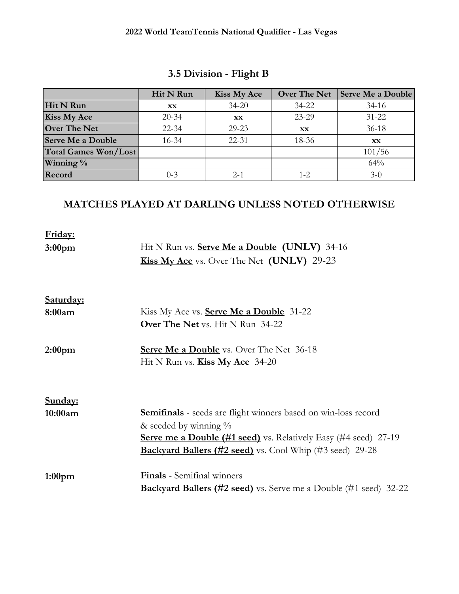|                             | Hit N Run | <b>Kiss My Ace</b> | <b>Over The Net</b> | Serve Me a Double |
|-----------------------------|-----------|--------------------|---------------------|-------------------|
| Hit N Run                   | XX        | $34 - 20$          | $34 - 22$           | $34-16$           |
| <b>Kiss My Ace</b>          | $20 - 34$ | <b>XX</b>          | 23-29               | $31 - 22$         |
| <b>Over The Net</b>         | $22 - 34$ | 29-23              | XX                  | $36-18$           |
| <b>Serve Me a Double</b>    | $16 - 34$ | $22 - 31$          | 18-36               | XX.               |
| <b>Total Games Won/Lost</b> |           |                    |                     | 101/56            |
| Winning $\%$                |           |                    |                     | 64%               |
| Record                      | $0 - 3$   | $2 - 1$            | $1 - 2$             | $3-0$             |

# **3.5 Division - Flight B**

| Friday:            |                                                                         |
|--------------------|-------------------------------------------------------------------------|
| 3:00 <sub>pm</sub> | Hit N Run vs. <b>Serve Me a Double (UNLV)</b> 34-16                     |
|                    | <b>Kiss My Ace</b> vs. Over The Net (UNLV) 29-23                        |
|                    |                                                                         |
| Saturday:          |                                                                         |
| 8:00am             | Kiss My Ace vs. <b>Serve Me a Double</b> 31-22                          |
|                    | <b>Over The Net</b> vs. Hit N Run 34-22                                 |
| 2:00 <sub>pm</sub> | <b>Serve Me a Double</b> vs. Over The Net 36-18                         |
|                    | Hit N Run vs. <b>Kiss My Ace</b> 34-20                                  |
|                    |                                                                         |
| Sunday:            |                                                                         |
| 10:00am            | <b>Semifinals</b> - seeds are flight winners based on win-loss record   |
|                    | & seeded by winning $\%$                                                |
|                    | <b>Serve me a Double (#1 seed)</b> vs. Relatively Easy (#4 seed) 27-19  |
|                    | <b>Backyard Ballers (#2 seed)</b> vs. Cool Whip (#3 seed) 29-28         |
| 1:00 <sub>pm</sub> | <b>Finals</b> - Semifinal winners                                       |
|                    | <b>Backyard Ballers (#2 seed)</b> vs. Serve me a Double (#1 seed) 32-22 |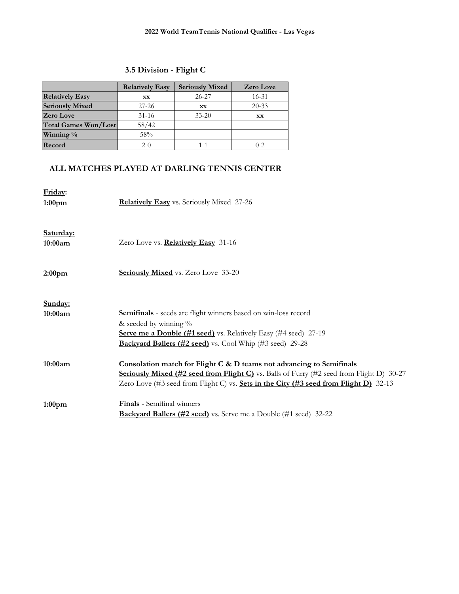# **3.5 Division - Flight C**

|                        | <b>Relatively Easy</b> | <b>Seriously Mixed</b> | <b>Zero Love</b> |
|------------------------|------------------------|------------------------|------------------|
| <b>Relatively Easy</b> | <b>XX</b>              | $26 - 27$              | $16 - 31$        |
| <b>Seriously Mixed</b> | $27 - 26$              | <b>XX</b>              | $20 - 33$        |
| <b>Zero Love</b>       | $31 - 16$              | $33 - 20$              | XX               |
| Total Games Won/Lost   | 58/42                  |                        |                  |
| Winning $\%$           | 58%                    |                        |                  |
| Record                 | $2-0$                  | 1-1                    | $0 - 2$          |

## **ALL MATCHES PLAYED AT DARLING TENNIS CENTER**

| Friday:<br>1:00 <sub>pm</sub> | Relatively Easy vs. Seriously Mixed 27-26                                                                                                                                                                                                                              |
|-------------------------------|------------------------------------------------------------------------------------------------------------------------------------------------------------------------------------------------------------------------------------------------------------------------|
| Saturday:<br>10:00am          | Zero Love vs. Relatively Easy 31-16                                                                                                                                                                                                                                    |
| 2:00 <sub>pm</sub>            | <b>Seriously Mixed</b> vs. Zero Love 33-20                                                                                                                                                                                                                             |
| Sunday:<br>10:00am            | Semifinals - seeds are flight winners based on win-loss record<br>& seeded by winning $\%$<br><b>Serve me a Double (#1 seed)</b> vs. Relatively Easy (#4 seed) 27-19<br>Backyard Ballers (#2 seed) vs. Cool Whip (#3 seed) 29-28                                       |
| 10:00am                       | Consolation match for Flight C & D teams not advancing to Semifinals<br><b>Seriously Mixed (#2 seed from Flight C)</b> vs. Balls of Furry (#2 seed from Flight D) 30-27<br>Zero Love (#3 seed from Flight C) vs. <b>Sets in the City (#3 seed from Flight D)</b> 32-13 |
| 1:00 <sub>pm</sub>            | <b>Finals</b> - Semifinal winners<br><b>Backyard Ballers (#2 seed)</b> vs. Serve me a Double (#1 seed) 32-22                                                                                                                                                           |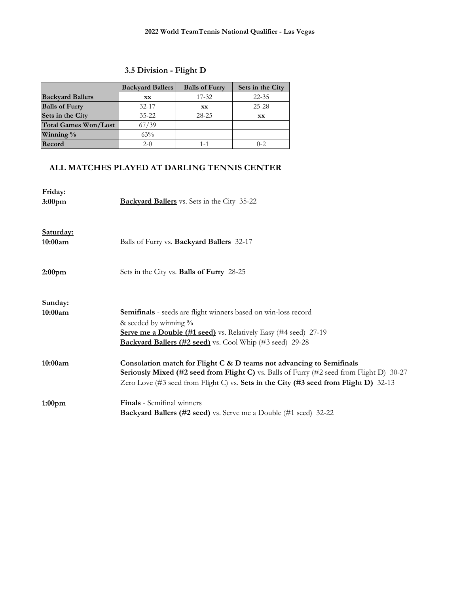## **3.5 Division - Flight D**

|                             | <b>Backyard Ballers</b> | <b>Balls of Furry</b> | Sets in the City |
|-----------------------------|-------------------------|-----------------------|------------------|
| <b>Backyard Ballers</b>     | <b>XX</b>               | $17 - 32$             | $22 - 35$        |
| <b>Balls of Furry</b>       | $32 - 17$               | <b>XX</b>             | $25 - 28$        |
| Sets in the City            | $35 - 22$               | $28 - 25$             | <b>XX</b>        |
| <b>Total Games Won/Lost</b> | 67/39                   |                       |                  |
| Winning %                   | 63%                     |                       |                  |
| Record                      | $2-0$                   | 1-1                   | $0 - 2$          |

### **ALL MATCHES PLAYED AT DARLING TENNIS CENTER**

| Friday:<br>3:00 <sub>pm</sub> | <b>Backyard Ballers</b> vs. Sets in the City 35-22                                                                                                                                                                                                                |
|-------------------------------|-------------------------------------------------------------------------------------------------------------------------------------------------------------------------------------------------------------------------------------------------------------------|
| Saturday:<br>10:00am          | Balls of Furry vs. <b>Backyard Ballers</b> 32-17                                                                                                                                                                                                                  |
| 2:00 <sub>pm</sub>            | Sets in the City vs. <b>Balls of Furry</b> 28-25                                                                                                                                                                                                                  |
| Sunday:<br>10:00am            | Semifinals - seeds are flight winners based on win-loss record<br>& seeded by winning $\%$<br>Serve me a Double (#1 seed) vs. Relatively Easy (#4 seed) 27-19<br>Backyard Ballers (#2 seed) vs. Cool Whip (#3 seed) 29-28                                         |
| 10:00am                       | Consolation match for Flight C & D teams not advancing to Semifinals<br><b>Seriously Mixed (#2 seed from Flight C)</b> vs. Balls of Furry (#2 seed from Flight D) $30-27$<br>Zero Love (#3 seed from Flight C) vs. Sets in the City (#3 seed from Flight D) 32-13 |
| 1:00 <sub>pm</sub>            | <b>Finals</b> - Semifinal winners<br><b>Backyard Ballers (#2 seed)</b> vs. Serve me a Double (#1 seed) 32-22                                                                                                                                                      |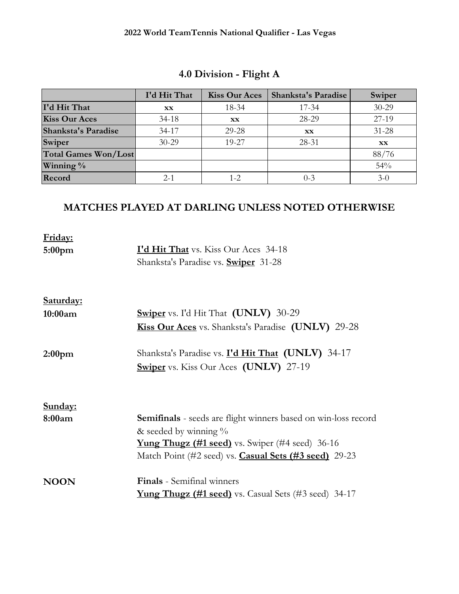|                             | I'd Hit That | <b>Kiss Our Aces</b> | <b>Shanksta's Paradise</b> | Swiper    |
|-----------------------------|--------------|----------------------|----------------------------|-----------|
| I'd Hit That                | XX           | 18-34                | $17 - 34$                  | $30 - 29$ |
| <b>Kiss Our Aces</b>        | $34 - 18$    | XX                   | 28-29                      | 27-19     |
| Shanksta's Paradise         | $34-17$      | 29-28                | XX                         | $31 - 28$ |
| Swiper                      | $30 - 29$    | 19-27                | 28-31                      | <b>XX</b> |
| <b>Total Games Won/Lost</b> |              |                      |                            | 88/76     |
| Winning $\%$                |              |                      |                            | 54%       |
| Record                      | $2 - 1$      | 1-2                  | $() - 3$                   | $3-0$     |

# **4.0 Division - Flight A**

| Friday:            |                                                                       |
|--------------------|-----------------------------------------------------------------------|
| 5:00 <sub>pm</sub> | <b>I'd Hit That</b> vs. Kiss Our Aces 34-18                           |
|                    | Shanksta's Paradise vs. <b>Swiper</b> 31-28                           |
| Saturday:          |                                                                       |
| 10:00am            | <b>Swiper</b> vs. I'd Hit That (UNLV) 30-29                           |
|                    | <b>Kiss Our Aces</b> vs. Shanksta's Paradise (UNLV) 29-28             |
| 2:00 <sub>pm</sub> | Shanksta's Paradise vs. I'd Hit That (UNLV) 34-17                     |
|                    | <b>Swiper</b> vs. Kiss Our Aces (UNLV) 27-19                          |
| Sunday:            |                                                                       |
| 8:00am             | <b>Semifinals</b> - seeds are flight winners based on win-loss record |
|                    | & seeded by winning $\%$                                              |
|                    | <b>Yung Thugz (#1 seed)</b> vs. Swiper (#4 seed) 36-16                |
|                    | Match Point (#2 seed) vs. <b>Casual Sets (#3 seed)</b> 29-23          |
| <b>NOON</b>        | <b>Finals</b> - Semifinal winners                                     |
|                    | <b>Yung Thugz (#1 seed)</b> vs. Casual Sets (#3 seed) 34-17           |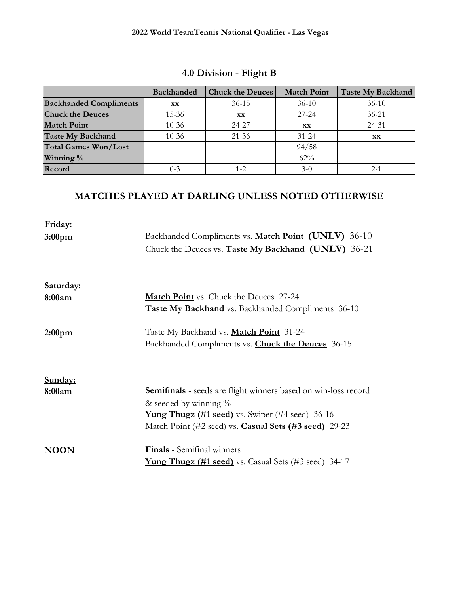|                               | <b>Backhanded</b> | <b>Chuck the Deuces</b> | <b>Match Point</b> | <b>Taste My Backhand</b> |
|-------------------------------|-------------------|-------------------------|--------------------|--------------------------|
| <b>Backhanded Compliments</b> | <b>XX</b>         | $36 - 15$               | $36-10$            | $36-10$                  |
| <b>Chuck the Deuces</b>       | $15 - 36$         | <b>XX</b>               | $27 - 24$          | $36 - 21$                |
| <b>Match Point</b>            | $10 - 36$         | 24-27                   | XX                 | $24 - 31$                |
| <b>Taste My Backhand</b>      | $10 - 36$         | $21 - 36$               | $31 - 24$          | <b>XX</b>                |
| <b>Total Games Won/Lost</b>   |                   |                         | 94/58              |                          |
| Winning %                     |                   |                         | 62%                |                          |
| Record                        | $0 - 3$           | $1 - 2$                 | $3-0$              | $2 - 1$                  |

# **4.0 Division - Flight B**

| Friday:            |                                                                |
|--------------------|----------------------------------------------------------------|
| 3:00 <sub>pm</sub> | Backhanded Compliments vs. Match Point (UNLV) 36-10            |
|                    | Chuck the Deuces vs. <b>Taste My Backhand</b> (UNLV) 36-21     |
| Saturday:          |                                                                |
| 8:00am             | <b>Match Point</b> vs. Chuck the Deuces 27-24                  |
|                    | <b>Taste My Backhand</b> vs. Backhanded Compliments 36-10      |
| 2:00 <sub>pm</sub> | Taste My Backhand vs. Match Point 31-24                        |
|                    | Backhanded Compliments vs. <b>Chuck the Deuces</b> 36-15       |
| Sunday:            |                                                                |
| 8:00am             | Semifinals - seeds are flight winners based on win-loss record |
|                    | & seeded by winning $\%$                                       |
|                    | <b>Yung Thugz (#1 seed)</b> vs. Swiper (#4 seed) 36-16         |
|                    | Match Point (#2 seed) vs. <b>Casual Sets (#3 seed)</b> 29-23   |
| <b>NOON</b>        | <b>Finals</b> - Semifinal winners                              |
|                    | <b>Yung Thugz (#1 seed)</b> vs. Casual Sets (#3 seed) $34-17$  |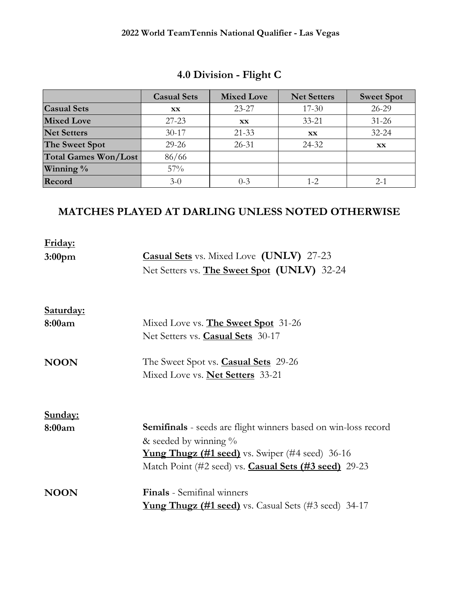|                             | <b>Casual Sets</b> | <b>Mixed Love</b> | <b>Net Setters</b> | <b>Sweet Spot</b> |
|-----------------------------|--------------------|-------------------|--------------------|-------------------|
| <b>Casual Sets</b>          | <b>XX</b>          | $23 - 27$         | $17 - 30$          | $26 - 29$         |
| <b>Mixed Love</b>           | $27 - 23$          | <b>XX</b>         | $33 - 21$          | $31 - 26$         |
| <b>Net Setters</b>          | $30 - 17$          | $21 - 33$         | <b>XX</b>          | $32 - 24$         |
| The Sweet Spot              | $29 - 26$          | $26 - 31$         | 24-32              | <b>XX</b>         |
| <b>Total Games Won/Lost</b> | 86/66              |                   |                    |                   |
| Winning %                   | 57%                |                   |                    |                   |
| Record                      | $3-0$              | $0 - 3$           | $1 - 2$            | $2 - 1$           |

# **4.0 Division - Flight C**

| Friday:            |                                                                |
|--------------------|----------------------------------------------------------------|
| 3:00 <sub>pm</sub> | <b>Casual Sets</b> vs. Mixed Love (UNLV) 27-23                 |
|                    | Net Setters vs. <b>The Sweet Spot</b> (UNLV) 32-24             |
|                    |                                                                |
| Saturday:          |                                                                |
| 8:00am             | Mixed Love vs. The Sweet Spot 31-26                            |
|                    | Net Setters vs. <b>Casual Sets</b> 30-17                       |
| <b>NOON</b>        | The Sweet Spot vs. <b>Casual Sets</b> 29-26                    |
|                    | Mixed Love vs. <b>Net Setters</b> 33-21                        |
|                    |                                                                |
| Sunday:            |                                                                |
| 8:00am             | Semifinals - seeds are flight winners based on win-loss record |
|                    | & seeded by winning $\%$                                       |
|                    | <b>Yung Thugz (#1 seed)</b> vs. Swiper (#4 seed) 36-16         |
|                    | Match Point (#2 seed) vs. <b>Casual Sets (#3 seed)</b> 29-23   |
| <b>NOON</b>        | <b>Finals</b> - Semifinal winners                              |
|                    | <b>Yung Thugz (#1 seed)</b> vs. Casual Sets (#3 seed) 34-17    |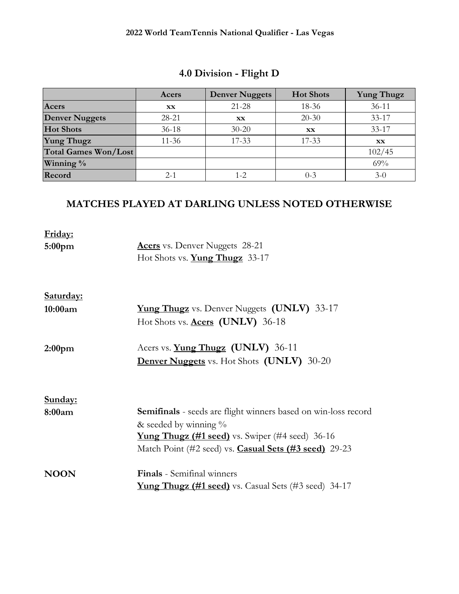|                             | Acers     | <b>Denver Nuggets</b> | <b>Hot Shots</b> | <b>Yung Thugz</b> |
|-----------------------------|-----------|-----------------------|------------------|-------------------|
| Acers                       | <b>XX</b> | $21 - 28$             | 18-36            | $36 - 11$         |
| <b>Denver Nuggets</b>       | 28-21     | <b>XX</b>             | $20 - 30$        | $33 - 17$         |
| <b>Hot Shots</b>            | $36-18$   | $30 - 20$             | <b>XX</b>        | $33 - 17$         |
| <b>Yung Thugz</b>           | $11 - 36$ | $17 - 33$             | $17 - 33$        | <b>XX</b>         |
| <b>Total Games Won/Lost</b> |           |                       |                  | 102/45            |
| Winning %                   |           |                       |                  | 69%               |
| Record                      | $2 - 1$   | 1-2                   | $0 - 3$          | $3-0$             |

# **4.0 Division - Flight D**

| Friday:<br>5:00 <sub>pm</sub> | <b>Acers</b> vs. Denver Nuggets 28-21<br>Hot Shots vs. Yung Thugz 33-17                                                                                                                                                     |
|-------------------------------|-----------------------------------------------------------------------------------------------------------------------------------------------------------------------------------------------------------------------------|
| Saturday:                     |                                                                                                                                                                                                                             |
| 10:00am                       | <b>Yung Thugz</b> vs. Denver Nuggets (UNLV) 33-17<br>Hot Shots vs. Acers (UNLV) 36-18                                                                                                                                       |
| 2:00 <sub>pm</sub>            | Acers vs. <b>Yung Thugz</b> (UNLV) 36-11<br><b>Denver Nuggets</b> vs. Hot Shots (UNLV) 30-20                                                                                                                                |
| Sunday:                       |                                                                                                                                                                                                                             |
| 8:00am                        | <b>Semifinals</b> - seeds are flight winners based on win-loss record<br>& seeded by winning $\%$<br><b>Yung Thugz (#1 seed)</b> vs. Swiper (#4 seed) 36-16<br>Match Point (#2 seed) vs. <b>Casual Sets (#3 seed)</b> 29-23 |
| <b>NOON</b>                   | <b>Finals</b> - Semifinal winners<br><b>Yung Thugz (#1 seed)</b> vs. Casual Sets (#3 seed) 34-17                                                                                                                            |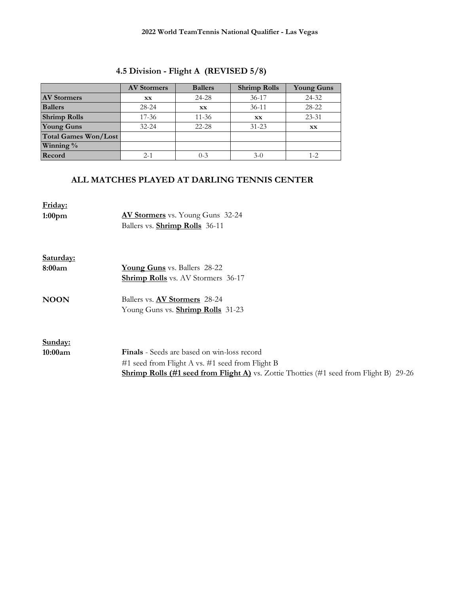| 4.5 Division - Flight A (REVISED 5/8) |  |  |
|---------------------------------------|--|--|
|---------------------------------------|--|--|

|                             | <b>AV Stormers</b> | <b>Ballers</b> | <b>Shrimp Rolls</b> | <b>Young Guns</b> |
|-----------------------------|--------------------|----------------|---------------------|-------------------|
| <b>AV Stormers</b>          | XX                 | 24-28          | $36-17$             | 24-32             |
| <b>Ballers</b>              | 28-24              | XX             | $36-11$             | 28-22             |
| <b>Shrimp Rolls</b>         | $17 - 36$          | $11 - 36$      | XX                  | $23 - 31$         |
| <b>Young Guns</b>           | $32 - 24$          | $22 - 28$      | $31 - 23$           | XX                |
| <b>Total Games Won/Lost</b> |                    |                |                     |                   |
| Winning %                   |                    |                |                     |                   |
| Record                      | $2 - 1$            | $0 - 3$        | $3-0$               | $1 - 2$           |

#### **ALL MATCHES PLAYED AT DARLING TENNIS CENTER**

**Friday:**

- **1:00pm AV Stormers** vs. Young Guns 32-24 Ballers vs. **Shrimp Rolls** 36-11
- **Saturday: 8:00am Young Guns** vs. Ballers 28-22 **Shrimp Rolls** vs. AV Stormers 36-17
- **NOON** Ballers vs. **AV Stormers** 28-24 Young Guns vs. **Shrimp Rolls** 31-23

**Sunday:**

**10:00am Finals** - Seeds are based on win-loss record #1 seed from Flight A vs. #1 seed from Flight B **Shrimp Rolls (#1 seed from Flight A)** vs. Zottie Thotties (#1 seed from Flight B) 29-26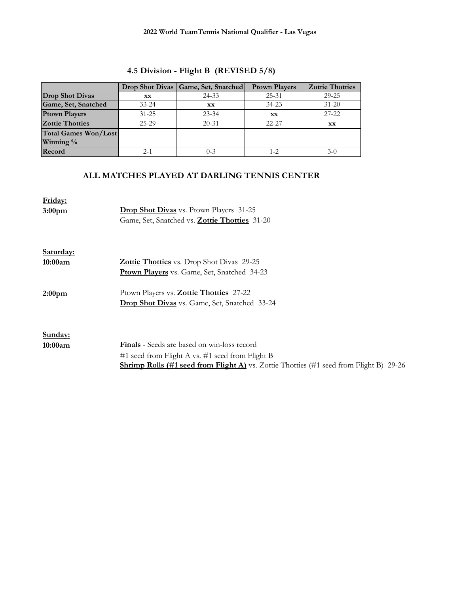|                             |           | Drop Shot Divas   Game, Set, Snatched | <b>Prown Players</b> | <b>Zottie Thotties</b> |
|-----------------------------|-----------|---------------------------------------|----------------------|------------------------|
| <b>Drop Shot Divas</b>      | <b>XX</b> | 24-33                                 | $25 - 31$            | $29 - 25$              |
| Game, Set, Snatched         | $33 - 24$ | XX                                    | $34 - 23$            | $31 - 20$              |
| <b>Ptown Players</b>        | $31 - 25$ | $23 - 34$                             | XX                   | $27 - 22$              |
| <b>Zottie Thotties</b>      | $25-29$   | $20 - 31$                             | $22 - 27$            | XX                     |
| <b>Total Games Won/Lost</b> |           |                                       |                      |                        |
| Winning %                   |           |                                       |                      |                        |
| Record                      | $2 - 1$   | $0 - 3$                               | $1 - 2$              | $3-0$                  |

# **4.5 Division - Flight B (REVISED 5/8)**

## **ALL MATCHES PLAYED AT DARLING TENNIS CENTER**

| Friday:            |                                                                                               |
|--------------------|-----------------------------------------------------------------------------------------------|
| 3:00 <sub>pm</sub> | <b>Drop Shot Divas</b> vs. Ptown Players 31-25                                                |
|                    | Game, Set, Snatched vs. Zottie Thotties 31-20                                                 |
|                    |                                                                                               |
| Saturday:          |                                                                                               |
| 10:00am            | <b>Zottie Thotties</b> vs. Drop Shot Divas 29-25                                              |
|                    | <b>Ptown Players</b> vs. Game, Set, Snatched 34-23                                            |
| 2:00 <sub>pm</sub> | Ptown Players vs. <b>Zottie Thotties</b> 27-22                                                |
|                    | <b>Drop Shot Divas</b> vs. Game, Set, Snatched 33-24                                          |
|                    |                                                                                               |
| Sunday:            |                                                                                               |
| 10:00am            | <b>Finals</b> - Seeds are based on win-loss record                                            |
|                    | #1 seed from Flight A vs. #1 seed from Flight B                                               |
|                    | <b>Shrimp Rolls (#1 seed from Flight A)</b> vs. Zottie Thotties (#1 seed from Flight B) 29-26 |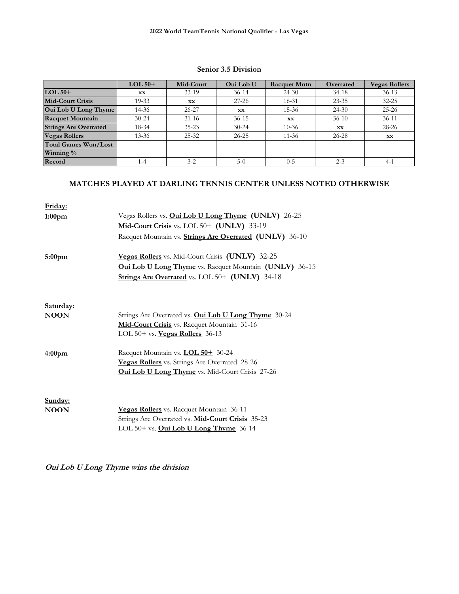#### **Senior 3.5 Division**

|                              | $LOL$ 50+ | Mid-Court | <b>Oui Lob U</b> | <b>Racquet Mntn</b> | Overrated | <b>Vegas Rollers</b> |
|------------------------------|-----------|-----------|------------------|---------------------|-----------|----------------------|
| $LOL$ 50+                    | XX        | $33-19$   | $36-14$          | $24 - 30$           | $34-18$   | $36 - 13$            |
| <b>Mid-Court Crisis</b>      | $19 - 33$ | XX        | $27 - 26$        | $16 - 31$           | $23 - 35$ | $32 - 25$            |
| Oui Lob U Long Thyme         | 14-36     | $26 - 27$ | <b>XX</b>        | $15 - 36$           | $24 - 30$ | $25 - 26$            |
| <b>Racquet Mountain</b>      | $30 - 24$ | $31-16$   | $36-15$          | <b>XX</b>           | $36-10$   | $36 - 11$            |
| <b>Strings Are Overrated</b> | 18-34     | $35 - 23$ | $30 - 24$        | $10 - 36$           | <b>XX</b> | 28-26                |
| <b>Vegas Rollers</b>         | $13 - 36$ | $25 - 32$ | $26 - 25$        | $11 - 36$           | $26 - 28$ | <b>XX</b>            |
| <b>Total Games Won/Lost</b>  |           |           |                  |                     |           |                      |
| Winning $\%$                 |           |           |                  |                     |           |                      |
| Record                       | 1-4       | $3 - 2$   | $5-0$            | $0 - 5$             | $2 - 3$   | $4-1$                |

### **MATCHES PLAYED AT DARLING TENNIS CENTER UNLESS NOTED OTHERWISE**

| Friday:                  |                                                               |
|--------------------------|---------------------------------------------------------------|
| 1:00 <sub>pm</sub>       | Vegas Rollers vs. Oui Lob U Long Thyme (UNLV) 26-25           |
|                          | Mid-Court Crisis vs. LOL 50+ (UNLV) 33-19                     |
|                          | Racquet Mountain vs. Strings Are Overrated (UNLV) 36-10       |
| 5:00 <sub>pm</sub>       | Vegas Rollers vs. Mid-Court Crisis (UNLV) 32-25               |
|                          | <b>Oui Lob U Long Thyme</b> vs. Racquet Mountain (UNLV) 36-15 |
|                          | Strings Are Overrated vs. LOL 50+ (UNLV) 34-18                |
|                          |                                                               |
| Saturday:<br><b>NOON</b> | Strings Are Overrated vs. Oui Lob U Long Thyme 30-24          |
|                          | Mid-Court Crisis vs. Racquet Mountain 31-16                   |
|                          | LOL $50+$ vs. <b>Vegas Rollers</b> $36-13$                    |
| 4:00 <sub>pm</sub>       | Racquet Mountain vs. LOL 50+ 30-24                            |
|                          | Vegas Rollers vs. Strings Are Overrated 28-26                 |
|                          | <b>Oui Lob U Long Thyme</b> vs. Mid-Court Crisis 27-26        |
| Sunday:                  |                                                               |
| <b>NOON</b>              | Vegas Rollers vs. Racquet Mountain 36-11                      |
|                          | Strings Are Overrated vs. Mid-Court Crisis 35-23              |
|                          | LOL 50+ vs. Oui Lob U Long Thyme 36-14                        |
|                          |                                                               |

**Oui Lob U Long Thyme wins the division**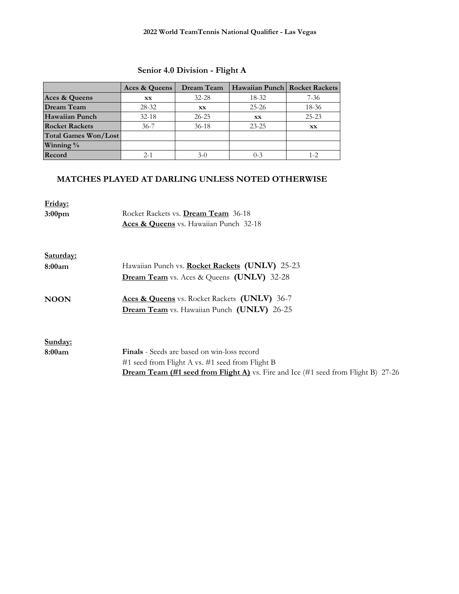## **Senior 4.0 Division - Flight A**

|                       | Aces & Queens | Dream Team | Hawaiian Punch   Rocket Rackets |           |
|-----------------------|---------------|------------|---------------------------------|-----------|
| Aces & Queens         | <b>XX</b>     | $32 - 28$  | $18 - 32$                       | $7 - 36$  |
| <b>Dream Team</b>     | 28-32         | XX         | $25 - 26$                       | 18-36     |
| <b>Hawaiian Punch</b> | $32 - 18$     | $26 - 25$  | <b>XX</b>                       | $25 - 23$ |
| <b>Rocket Rackets</b> | $36 - 7$      | $36-18$    | $23 - 25$                       |           |
| Total Games Won/Lost  |               |            |                                 |           |
| Winning %             |               |            |                                 |           |
| Record                | $2 - 1$       | 3-0        | $0 - 3$                         | 1-2       |

| Friday:            |                                                                                          |
|--------------------|------------------------------------------------------------------------------------------|
| 3:00 <sub>pm</sub> | Rocket Rackets vs. Dream Team 36-18                                                      |
|                    | <b>Aces &amp; Queens</b> vs. Hawaiian Punch 32-18                                        |
|                    |                                                                                          |
| Saturday:          |                                                                                          |
| 8:00am             | Hawaiian Punch vs. Rocket Rackets (UNLV) 25-23                                           |
|                    | <b>Dream Team</b> vs. Aces & Queens (UNLV) 32-28                                         |
| <b>NOON</b>        | Aces & Queens vs. Rocket Rackets (UNLV) 36-7                                             |
|                    | Dream Team vs. Hawaiian Punch (UNLV) 26-25                                               |
|                    |                                                                                          |
| Sunday:            |                                                                                          |
| 8:00am             | <b>Finals</b> - Seeds are based on win-loss record                                       |
|                    | #1 seed from Flight A vs. #1 seed from Flight B                                          |
|                    | <b>Dream Team (#1 seed from Flight A)</b> vs. Fire and Ice (#1 seed from Flight B) 27-26 |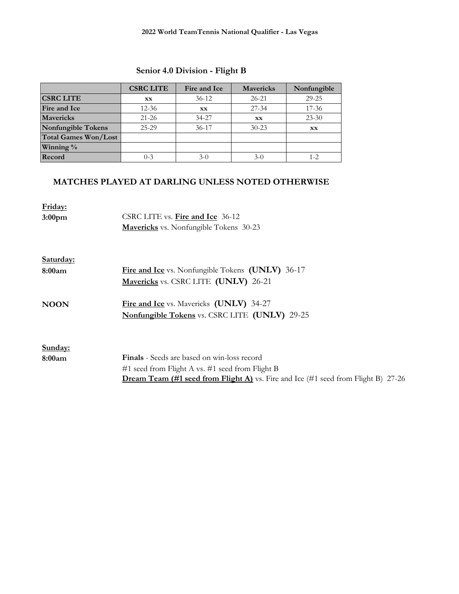## **Senior 4.0 Division - Flight B**

|                             | <b>CSRC LITE</b> | Fire and Ice | <b>Mavericks</b> | Nonfungible |
|-----------------------------|------------------|--------------|------------------|-------------|
| <b>CSRC LITE</b>            | XX               | $36-12$      | $26 - 21$        | $29 - 25$   |
| Fire and Ice                | $12 - 36$        | XX           | $27 - 34$        | $17 - 36$   |
| <b>Mavericks</b>            | $21 - 26$        | 34-27        | XX               | $23 - 30$   |
| <b>Nonfungible Tokens</b>   | 25-29            | $36 - 17$    | $30 - 23$        | XX          |
| <b>Total Games Won/Lost</b> |                  |              |                  |             |
| Winning %                   |                  |              |                  |             |
| Record                      | $0 - 3$          | $3-0$        | $3-0$            | $1 - 2$     |

| Friday:<br>3:00 <sub>pm</sub> | CSRC LITE vs. Fire and Ice 36-12<br><b>Mavericks</b> vs. Nonfungible Tokens 30-23        |
|-------------------------------|------------------------------------------------------------------------------------------|
| Saturday:                     |                                                                                          |
| 8:00am                        | <b>Fire and Ice</b> vs. Nonfungible Tokens (UNLV) 36-17                                  |
|                               | Mavericks vs. CSRC LITE (UNLV) 26-21                                                     |
| <b>NOON</b>                   | Fire and Ice vs. Mavericks (UNLV) 34-27                                                  |
|                               | Nonfungible Tokens vs. CSRC LITE (UNLV) 29-25                                            |
|                               |                                                                                          |
| Sunday:                       |                                                                                          |
| 8:00am                        | <b>Finals</b> - Seeds are based on win-loss record                                       |
|                               | #1 seed from Flight A vs. #1 seed from Flight B                                          |
|                               | <b>Dream Team (#1 seed from Flight A)</b> vs. Fire and Ice (#1 seed from Flight B) 27-26 |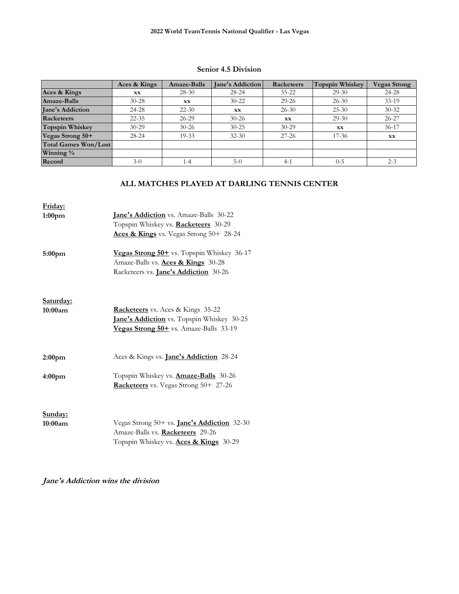#### **Senior 4.5 Division**

|                             | Aces & Kings | Amaze-Balls | <b>Jane's Addiction</b> | Racketeers | Topspin Whiskey | <b>Vegas Strong</b> |
|-----------------------------|--------------|-------------|-------------------------|------------|-----------------|---------------------|
| Aces & Kings                | <b>XX</b>    | $28-30$     | $28 - 24$               | $35 - 22$  | $29-30$         | 24-28               |
| Amaze-Balls                 | $30 - 28$    | <b>XX</b>   | $30 - 22$               | $29 - 26$  | $26 - 30$       | $33-19$             |
| <b>Jane's Addiction</b>     | 24-28        | $22 - 30$   | <b>XX</b>               | $26 - 30$  | $25 - 30$       | $30 - 32$           |
| Racketeers                  | $22 - 35$    | $26 - 29$   | $30 - 26$               | <b>XX</b>  | $29-30$         | $26 - 27$           |
| <b>Topspin Whiskey</b>      | $30 - 29$    | $30 - 26$   | $30 - 25$               | $30 - 29$  | <b>XX</b>       | $36-17$             |
| Vegas Strong 50+            | $28 - 24$    | 19-33       | $32 - 30$               | $27 - 26$  | $17 - 36$       | XX                  |
| <b>Total Games Won/Lost</b> |              |             |                         |            |                 |                     |
| Winning $\%$                |              |             |                         |            |                 |                     |
| Record                      | $3-0$        | $1-4$       | $5-0$                   | $4 - 1$    | $0 - 5$         | $2 - 3$             |

### **ALL MATCHES PLAYED AT DARLING TENNIS CENTER**

| Friday:<br>1:00 <sub>pm</sub><br>5:00 <sub>pm</sub> | <b>Jane's Addiction</b> vs. Amaze-Balls 30-22<br>Topspin Whiskey vs. Racketeers 30-29<br>Aces & Kings vs. Vegas Strong 50+ 28-24<br>Vegas Strong 50+ vs. Topspin Whiskey 36-17 |
|-----------------------------------------------------|--------------------------------------------------------------------------------------------------------------------------------------------------------------------------------|
|                                                     | Amaze-Balls vs. Aces & Kings 30-28<br>Racketeers vs. <b>Jane's Addiction</b> 30-26                                                                                             |
| Saturday:<br>10:00am                                | <b>Racketeers</b> vs. Aces & Kings 35-22<br>Jane's Addiction vs. Topspin Whiskey 30-25<br>Vegas Strong 50+ vs. Amaze-Balls 33-19                                               |
| 2:00 <sub>pm</sub>                                  | Aces & Kings vs. <b>Jane's Addiction</b> 28-24                                                                                                                                 |
| 4:00 <sub>pm</sub>                                  | Topspin Whiskey vs. <b>Amaze-Balls</b> 30-26<br>Racketeers vs. Vegas Strong 50+ 27-26                                                                                          |
| Sunday:<br>10:00am                                  | Vegas Strong 50+ vs. <b>Jane's Addiction</b> 32-30<br>Amaze-Balls vs. Racketeers 29-26<br>Topspin Whiskey vs. Aces & Kings 30-29                                               |

## **Jane's Addiction wins the division**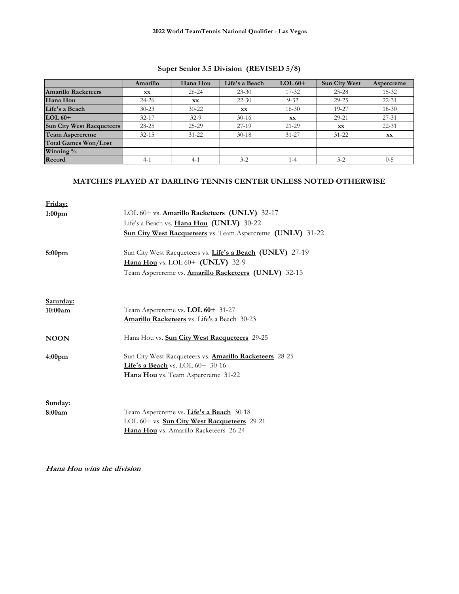## **Super Senior 3.5 Division (REVISED 5/8)**

|                                  | Amarillo  | Hana Hou  | Life's a Beach | $LOL60+$  | <b>Sun City West</b> | Aspercreme |
|----------------------------------|-----------|-----------|----------------|-----------|----------------------|------------|
| <b>Amarillo Racketeers</b>       | <b>XX</b> | $26 - 24$ | $23 - 30$      | $17 - 32$ | $25 - 28$            | $15 - 32$  |
| Hana Hou                         | $24 - 26$ | <b>XX</b> | $22 - 30$      | $9 - 32$  | $29 - 25$            | $22 - 31$  |
| Life's a Beach                   | $30 - 23$ | $30 - 22$ | XX             | $16 - 30$ | 19-27                | 18-30      |
| $LOL 60+$                        | $32 - 17$ | $32-9$    | $30 - 16$      | <b>XX</b> | $29 - 21$            | 27-31      |
| <b>Sun City West Racqueteers</b> | $28 - 25$ | $25 - 29$ | $27-19$        | $21 - 29$ | <b>XX</b>            | $22 - 31$  |
| Team Aspercreme                  | $32 - 15$ | $31 - 22$ | $30-18$        | $31 - 27$ | $31 - 22$            | XX.        |
| <b>Total Games Won/Lost</b>      |           |           |                |           |                      |            |
| Winning $\%$                     |           |           |                |           |                      |            |
| Record                           | $4-1$     | $4-1$     | $3 - 2$        | $1 - 4$   | $3 - 2$              | $0 - 5$    |

#### **MATCHES PLAYED AT DARLING TENNIS CENTER UNLESS NOTED OTHERWISE**

| Friday:<br>1:00 <sub>pm</sub> | LOL 60+ vs. <b>Amarillo Racketeers</b> (UNLV) 32-17<br>Life's a Beach vs. Hana Hou (UNLV) 30-22<br><b>Sun City West Racqueteers</b> vs. Team Aspercreme (UNLV) 31-22 |
|-------------------------------|----------------------------------------------------------------------------------------------------------------------------------------------------------------------|
| 5:00 <sub>pm</sub>            | Sun City West Racqueteers vs. Life's a Beach (UNLV) 27-19<br>Hana Hou vs. LOL 60+ (UNLV) 32-9<br>Team Aspercreme vs. <b>Amarillo Racketeers (UNLV)</b> 32-15         |
| Saturday:<br>10:00am          | Team Aspercreme vs. <b>LOL 60+</b> 31-27<br><b>Amarillo Racketeers</b> vs. Life's a Beach 30-23                                                                      |
| <b>NOON</b>                   | Hana Hou vs. Sun City West Racqueteers 29-25                                                                                                                         |
| 4:00 <sub>pm</sub>            | Sun City West Racqueteers vs. <b>Amarillo Racketeers</b> 28-25<br>Life's a Beach vs. LOL $60+30-16$<br>Hana Hou vs. Team Aspercreme 31-22                            |
| Sunday:<br>8:00am             | Team Aspercreme vs. Life's a Beach 30-18<br>LOL 60+ vs. <b>Sun City West Racqueteers</b> 29-21<br><b>Hana Hou</b> vs. Amarillo Racketeers 26-24                      |

**Hana Hou wins the division**